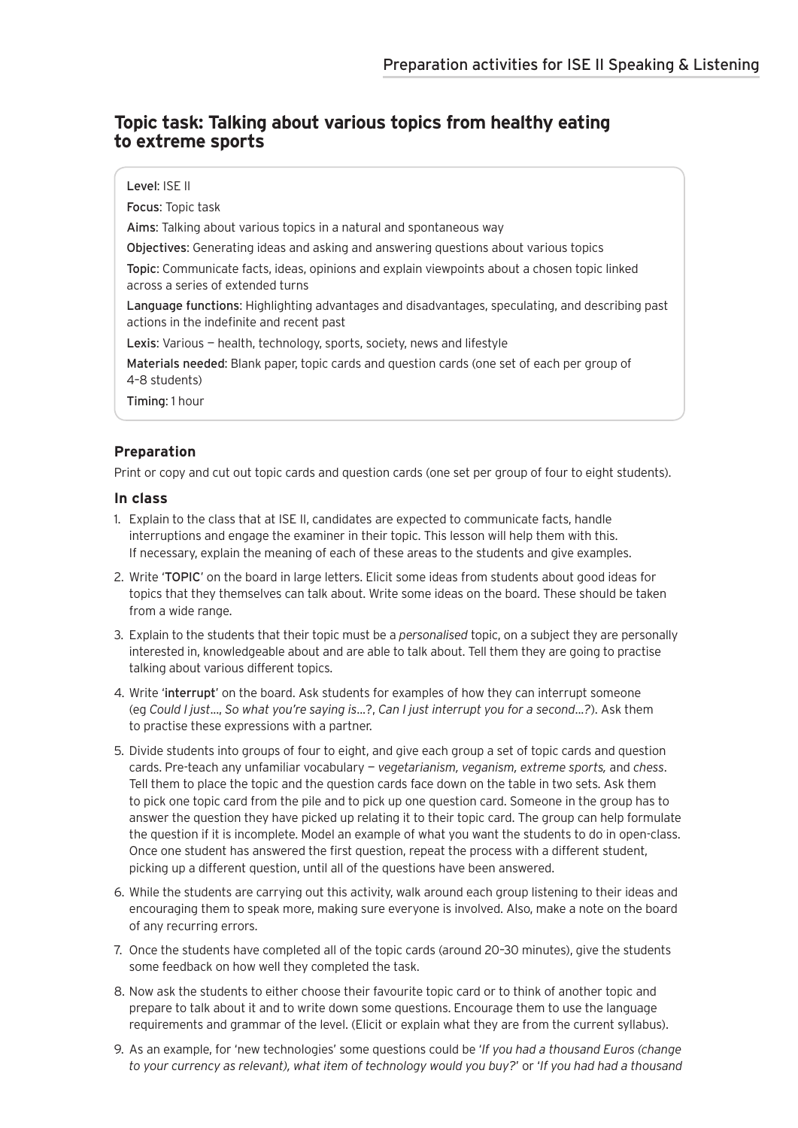### **Topic task: Talking about various topics from healthy eating to extreme sports**

Level: ISE II Focus: Topic task Aims: Talking about various topics in a natural and spontaneous way Objectives: Generating ideas and asking and answering questions about various topics Topic: Communicate facts, ideas, opinions and explain viewpoints about a chosen topic linked across a series of extended turns Language functions: Highlighting advantages and disadvantages, speculating, and describing past actions in the indefinite and recent past Lexis: Various - health, technology, sports, society, news and lifestyle Materials needed: Blank paper, topic cards and question cards (one set of each per group of

4–8 students)

Timing: 1 hour

### **Preparation**

Print or copy and cut out topic cards and question cards (one set per group of four to eight students).

#### **In class**

- 1. Explain to the class that at ISE II, candidates are expected to communicate facts, handle interruptions and engage the examiner in their topic. This lesson will help them with this. If necessary, explain the meaning of each of these areas to the students and give examples.
- 2. Write 'TOPIC' on the board in large letters. Elicit some ideas from students about good ideas for topics that they themselves can talk about. Write some ideas on the board. These should be taken from a wide range.
- 3. Explain to the students that their topic must be a *personalised* topic, on a subject they are personally interested in, knowledgeable about and are able to talk about. Tell them they are going to practise talking about various different topics.
- 4. Write 'interrupt' on the board. Ask students for examples of how they can interrupt someone (eg *Could I just*..., *So what you're saying is*...?, *Can I just interrupt you for a second*...*?*). Ask them to practise these expressions with a partner.
- 5. Divide students into groups of four to eight, and give each group a set of topic cards and question cards. Pre-teach any unfamiliar vocabulary — *vegetarianism, veganism, extreme sports,* and *chess*. Tell them to place the topic and the question cards face down on the table in two sets. Ask them to pick one topic card from the pile and to pick up one question card. Someone in the group has to answer the question they have picked up relating it to their topic card. The group can help formulate the question if it is incomplete. Model an example of what you want the students to do in open-class. Once one student has answered the first question, repeat the process with a different student, picking up a different question, until all of the questions have been answered.
- 6. While the students are carrying out this activity, walk around each group listening to their ideas and encouraging them to speak more, making sure everyone is involved. Also, make a note on the board of any recurring errors.
- 7. Once the students have completed all of the topic cards (around 20–30 minutes), give the students some feedback on how well they completed the task.
- 8. Now ask the students to either choose their favourite topic card or to think of another topic and prepare to talk about it and to write down some questions. Encourage them to use the language requirements and grammar of the level. (Elicit or explain what they are from the current syllabus).
- 9. As an example, for 'new technologies' some questions could be '*If you had a thousand Euros (change to your currency as relevant), what item of technology would you buy?*' or '*If you had had a thousand*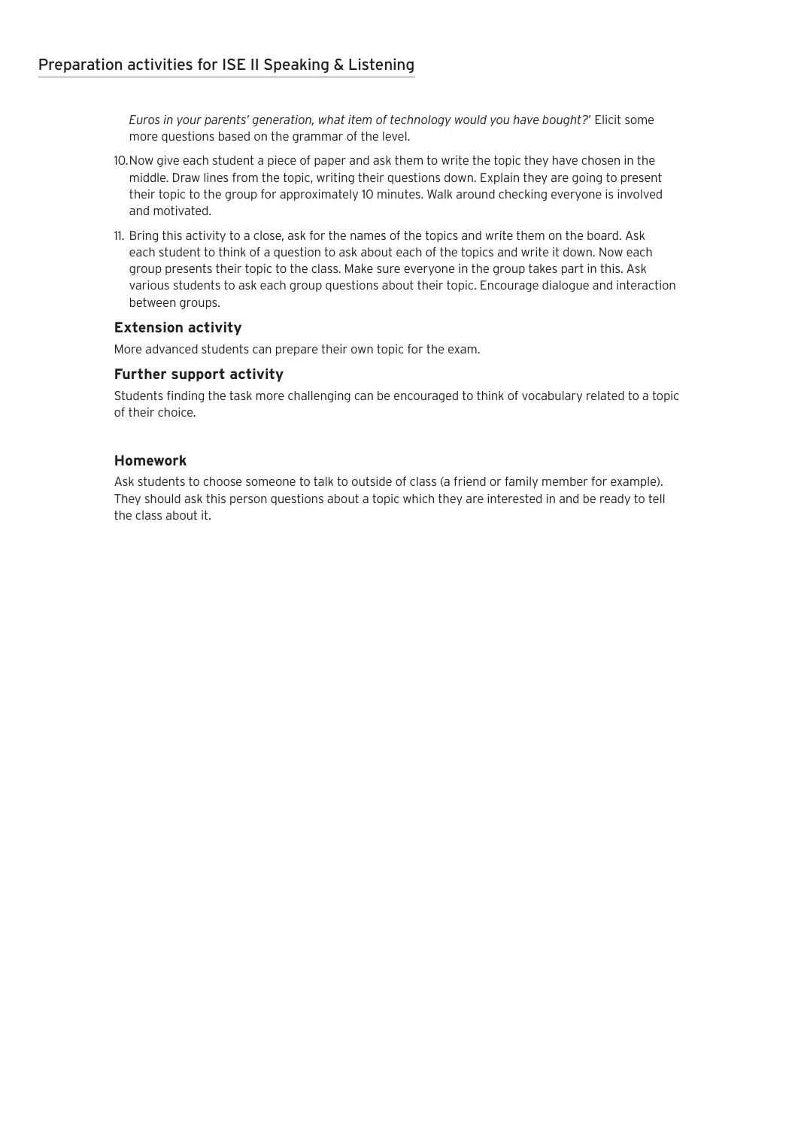*Euros in your parents' generation, what item of technology would you have bought?*' Elicit some more questions based on the grammar of the level.

- 10.Now give each student a piece of paper and ask them to write the topic they have chosen in the middle. Draw lines from the topic, writing their questions down. Explain they are going to present their topic to the group for approximately 10 minutes. Walk around checking everyone is involved and motivated.
- 11. Bring this activity to a close, ask for the names of the topics and write them on the board. Ask each student to think of a question to ask about each of the topics and write it down. Now each group presents their topic to the class. Make sure everyone in the group takes part in this. Ask various students to ask each group questions about their topic. Encourage dialogue and interaction between groups.

#### **Extension activity**

More advanced students can prepare their own topic for the exam.

#### **Further support activity**

Students finding the task more challenging can be encouraged to think of vocabulary related to a topic of their choice.

#### **Homework**

Ask students to choose someone to talk to outside of class (a friend or family member for example). They should ask this person questions about a topic which they are interested in and be ready to tell the class about it.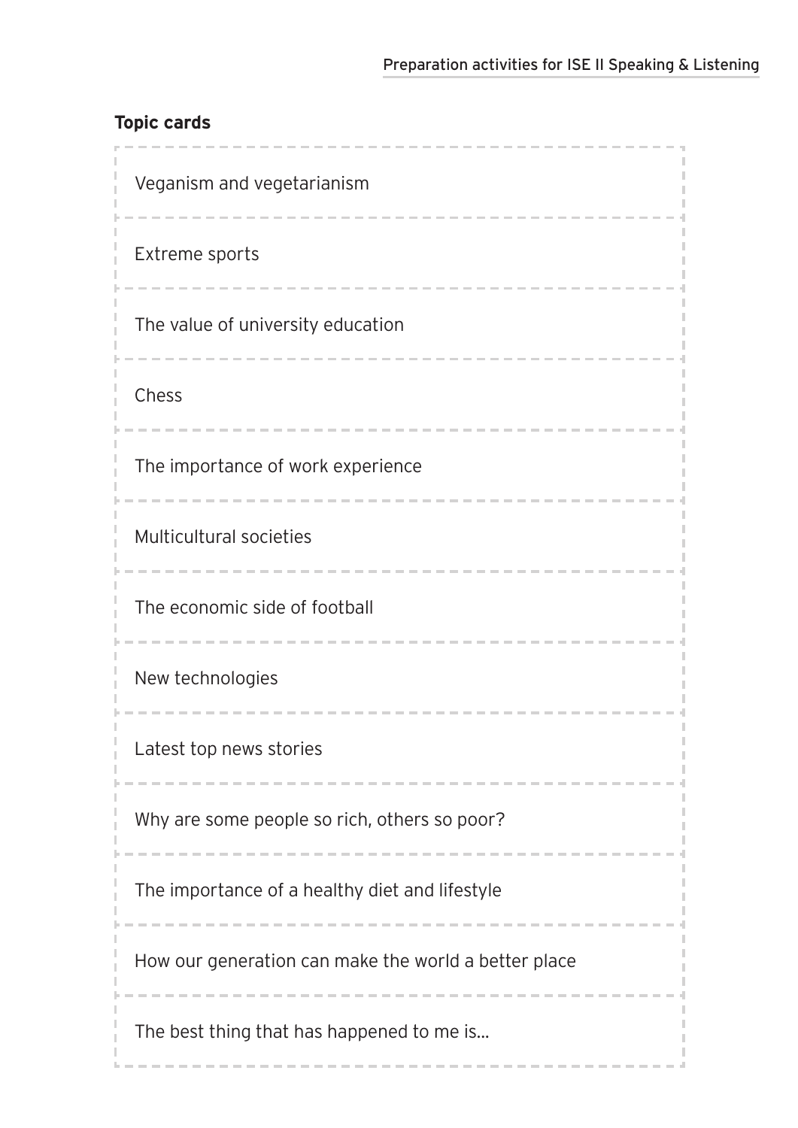# **Topic cards**

| Veganism and vegetarianism                           |  |  |
|------------------------------------------------------|--|--|
| Extreme sports                                       |  |  |
| The value of university education                    |  |  |
| Chess                                                |  |  |
| The importance of work experience                    |  |  |
| Multicultural societies                              |  |  |
| The economic side of football                        |  |  |
| New technologies                                     |  |  |
| Latest top news stories                              |  |  |
| Why are some people so rich, others so poor?         |  |  |
| The importance of a healthy diet and lifestyle       |  |  |
| How our generation can make the world a better place |  |  |
| The best thing that has happened to me is            |  |  |